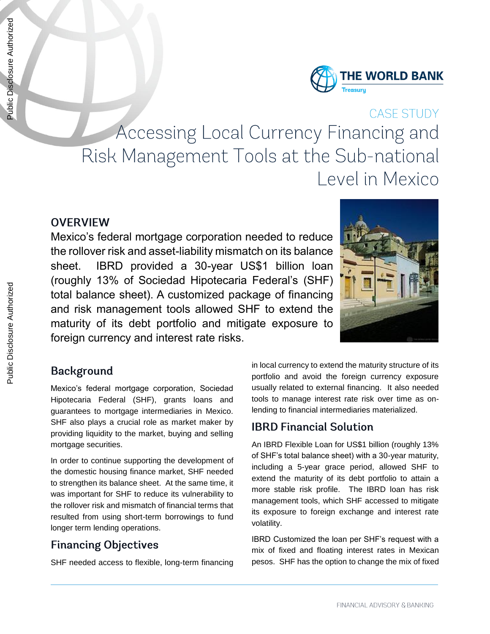

# **CASE STUDY** Accessing Local Currency Financing and Risk Management Tools at the Sub-national Level in Mexico

#### **OVERVIEW**

Mexico's federal mortgage corporation needed to reduce the rollover risk and asset-liability mismatch on its balance sheet. IBRD provided a 30-year US\$1 billion loan (roughly 13% of Sociedad Hipotecaria Federal's (SHF) total balance sheet). A customized package of financing and risk management tools allowed SHF to extend the maturity of its debt portfolio and mitigate exposure to foreign currency and interest rate risks.



# **Background**

Mexico's federal mortgage corporation, Sociedad Hipotecaria Federal (SHF), grants loans and guarantees to mortgage intermediaries in Mexico. SHF also plays a crucial role as market maker by providing liquidity to the market, buying and selling mortgage securities.

In order to continue supporting the development of the domestic housing finance market, SHF needed to strengthen its balance sheet. At the same time, it was important for SHF to reduce its vulnerability to the rollover risk and mismatch of financial terms that resulted from using short-term borrowings to fund longer term lending operations.

# **Financing Objectives**

SHF needed access to flexible, long-term financing

in local currency to extend the maturity structure of its portfolio and avoid the foreign currency exposure usually related to external financing. It also needed tools to manage interest rate risk over time as onlending to financial intermediaries materialized.

# **IBRD Financial Solution**

An IBRD Flexible Loan for US\$1 billion (roughly 13% of SHF's total balance sheet) with a 30-year maturity, including a 5-year grace period, allowed SHF to extend the maturity of its debt portfolio to attain a more stable risk profile. The IBRD loan has risk management tools, which SHF accessed to mitigate its exposure to foreign exchange and interest rate volatility.

IBRD Customized the loan per SHF's request with a mix of fixed and floating interest rates in Mexican pesos. SHF has the option to change the mix of fixed